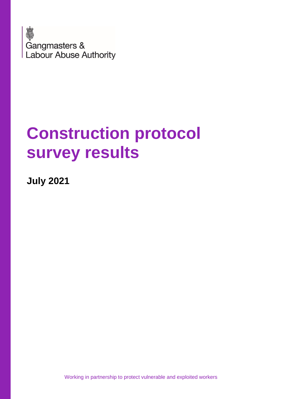

# **Construction protocol survey results**

**July 2021**

Working in partnership to protect vulnerable and exploited workers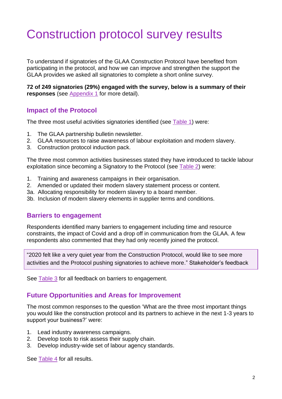## Construction protocol survey results

To understand if signatories of the GLAA Construction Protocol have benefited from participating in the protocol, and how we can improve and strengthen the support the GLAA provides we asked all signatories to complete a short online survey.

**72 of 249 signatories (29%) engaged with the survey, below is a summary of their responses** (see [Appendix 1](#page-3-0) for more detail).

#### **Impact of the Protocol**

The three most useful activities signatories identified (see [Table 1\)](#page-3-1) were:

- 1. The GLAA partnership bulletin newsletter.
- 2. GLAA resources to raise awareness of labour exploitation and modern slavery.
- 3. Construction protocol induction pack.

The three most common activities businesses stated they have introduced to tackle labour exploitation since becoming a Signatory to the Protocol (see [Table 2\)](#page-3-2) were:

- 1. Training and awareness campaigns in their organisation.
- 2. Amended or updated their modern slavery statement process or content.
- 3a. Allocating responsibility for modern slavery to a board member.
- 3b. Inclusion of modern slavery elements in supplier terms and conditions.

#### **Barriers to engagement**

Respondents identified many barriers to engagement including time and resource constraints, the impact of Covid and a drop off in communication from the GLAA. A few respondents also commented that they had only recently joined the protocol.

"2020 felt like a very quiet year from the Construction Protocol, would like to see more activities and the Protocol pushing signatories to achieve more." Stakeholder's feedback

See [Table 3](#page-4-0) for all feedback on barriers to engagement.

#### **Future Opportunities and Areas for Improvement**

The most common responses to the question 'What are the three most important things you would like the construction protocol and its partners to achieve in the next 1-3 years to support your business?' were:

- 1. Lead industry awareness campaigns.
- 2. Develop tools to risk assess their supply chain.
- 3. Develop industry-wide set of labour agency standards.

See [Table 4](#page-7-0) for all results.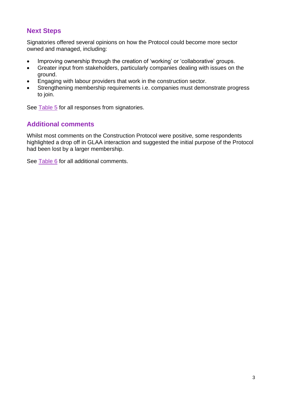#### **Next Steps**

Signatories offered several opinions on how the Protocol could become more sector owned and managed, including:

- Improving ownership through the creation of 'working' or 'collaborative' groups.
- Greater input from stakeholders, particularly companies dealing with issues on the ground.
- Engaging with labour providers that work in the construction sector.
- Strengthening membership requirements i.e. companies must demonstrate progress to join.

See **Table 5** for all responses from signatories.

#### **Additional comments**

Whilst most comments on the Construction Protocol were positive, some respondents highlighted a drop off in GLAA interaction and suggested the initial purpose of the Protocol had been lost by a larger membership.

See [Table 6](#page-10-0) for all additional comments.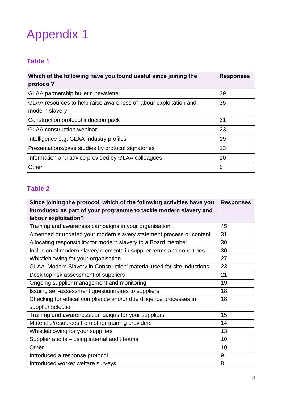## <span id="page-3-0"></span>Appendix 1

## <span id="page-3-1"></span>**Table 1**

| Which of the following have you found useful since joining the<br>protocol?         | <b>Responses</b> |
|-------------------------------------------------------------------------------------|------------------|
| GLAA partnership bulletin newsletter                                                | 39               |
| GLAA resources to help raise awareness of labour exploitation and<br>modern slavery | 35               |
| Construction protocol induction pack                                                | 31               |
| <b>GLAA</b> construction webinar                                                    | 23               |
| Intelligence e.g. GLAA Industry profiles                                            | 19               |
| Presentations/case studies by protocol signatories                                  | 13               |
| Information and advice provided by GLAA colleagues                                  | 10               |
| Other                                                                               | 6                |

## <span id="page-3-2"></span>**Table 2**

| Since joining the protocol, which of the following activities have you  | <b>Responses</b> |
|-------------------------------------------------------------------------|------------------|
| introduced as part of your programme to tackle modern slavery and       |                  |
| labour exploitation?                                                    |                  |
| Training and awareness campaigns in your organisation                   | 45               |
| Amended or updated your modern slavery statement process or content     | 31               |
| Allocating responsibility for modern slavery to a Board member          | 30               |
| Inclusion of modern slavery elements in supplier terms and conditions   | 30               |
| Whistleblowing for your organisation                                    | 27               |
| GLAA 'Modern Slavery in Construction' material used for site inductions | 23               |
| Desk top risk assessment of suppliers                                   | 21               |
| Ongoing supplier management and monitoring                              | 19               |
| Issuing self-assessment questionnaires to suppliers                     | 18               |
| Checking for ethical compliance and/or due diligence processes in       | 18               |
| supplier selection                                                      |                  |
| Training and awareness campaigns for your suppliers                     | 15               |
| Materials/resources from other training providers                       | 14               |
| Whistleblowing for your suppliers                                       | 13               |
| Supplier audits - using internal audit teams                            | 10               |
| Other                                                                   | 10               |
| Introduced a response protocol                                          | 9                |
| Introduced worker welfare surveys                                       | 8                |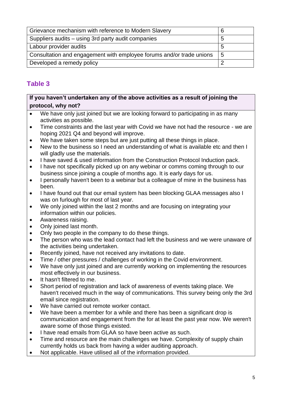| Grievance mechanism with reference to Modern Slavery                 |   |
|----------------------------------------------------------------------|---|
| Suppliers audits – using 3rd party audit companies                   | b |
| Labour provider audits                                               | 5 |
| Consultation and engagement with employee forums and/or trade unions | 5 |
| Developed a remedy policy                                            |   |

## <span id="page-4-0"></span>**Table 3**

#### **If you haven't undertaken any of the above activities as a result of joining the protocol, why not?**

- We have only just joined but we are looking forward to participating in as many activities as possible.
- Time constraints and the last year with Covid we have not had the resource we are hoping 2021 Q4 and beyond will improve.
- We have taken some steps but are just putting all these things in place.
- New to the business so I need an understanding of what is available etc and then I will gladly use the materials.
- I have saved & used information from the Construction Protocol Induction pack.
- I have not specifically picked up on any webinar or comms coming through to our business since joining a couple of months ago. It is early days for us.
- I personally haven't been to a webinar but a colleague of mine in the business has been.
- I have found out that our email system has been blocking GLAA messages also I was on furlough for most of last year.
- We only joined within the last 2 months and are focusing on integrating your information within our policies.
- Awareness raising.
- Only joined last month.
- Only two people in the company to do these things.
- The person who was the lead contact had left the business and we were unaware of the activities being undertaken.
- Recently joined, have not received any invitations to date.
- Time / other pressures / challenges of working in the Covid environment.
- We have only just joined and are currently working on implementing the resources most effectively in our business.
- It hasn't filtered to me.
- Short period of registration and lack of awareness of events taking place. We haven't received much in the way of communications. This survey being only the 3rd email since registration.
- We have carried out remote worker contact.
- We have been a member for a while and there has been a significant drop is communication and engagement from the for at least the past year now. We weren't aware some of those things existed.
- I have read emails from GLAA so have been active as such.
- Time and resource are the main challenges we have. Complexity of supply chain currently holds us back from having a wider auditing approach.
- Not applicable. Have utilised all of the information provided.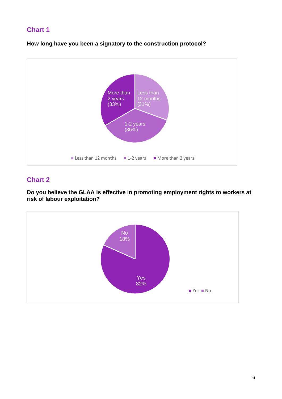#### **Chart 1**

**How long have you been a signatory to the construction protocol?**



#### **Chart 2**

**Do you believe the GLAA is effective in promoting employment rights to workers at risk of labour exploitation?**

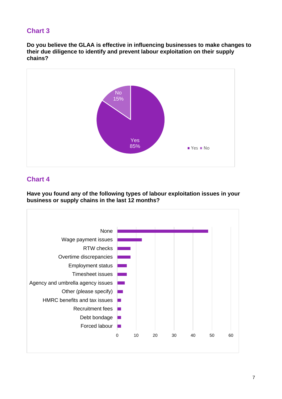#### **Chart 3**

**Do you believe the GLAA is effective in influencing businesses to make changes to their due diligence to identify and prevent labour exploitation on their supply chains?**



#### **Chart 4**

**Have you found any of the following types of labour exploitation issues in your business or supply chains in the last 12 months?**

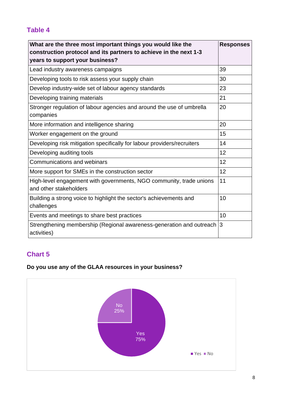## <span id="page-7-0"></span>**Table 4**

| What are the three most important things you would like the<br>construction protocol and its partners to achieve in the next 1-3<br>years to support your business? | <b>Responses</b> |
|---------------------------------------------------------------------------------------------------------------------------------------------------------------------|------------------|
| Lead industry awareness campaigns                                                                                                                                   | 39               |
| Developing tools to risk assess your supply chain                                                                                                                   | 30               |
| Develop industry-wide set of labour agency standards                                                                                                                | 23               |
| Developing training materials                                                                                                                                       | 21               |
| Stronger regulation of labour agencies and around the use of umbrella<br>companies                                                                                  | 20               |
| More information and intelligence sharing                                                                                                                           | 20               |
| Worker engagement on the ground                                                                                                                                     | 15               |
| Developing risk mitigation specifically for labour providers/recruiters                                                                                             | 14               |
| Developing auditing tools                                                                                                                                           | 12               |
| Communications and webinars                                                                                                                                         | 12               |
| More support for SMEs in the construction sector                                                                                                                    | 12               |
| High-level engagement with governments, NGO community, trade unions<br>and other stakeholders                                                                       | 11               |
| Building a strong voice to highlight the sector's achievements and<br>challenges                                                                                    | 10               |
| Events and meetings to share best practices                                                                                                                         | 10               |
| Strengthening membership (Regional awareness-generation and outreach<br>activities)                                                                                 | 3                |

## **Chart 5**

### **Do you use any of the GLAA resources in your business?**

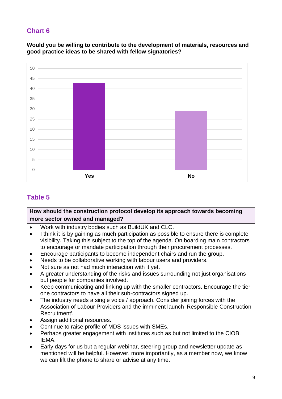### **Chart 6**

**Would you be willing to contribute to the development of materials, resources and good practice ideas to be shared with fellow signatories?**



## <span id="page-8-0"></span>**Table 5**

#### **How should the construction protocol develop its approach towards becoming more sector owned and managed?**

- Work with industry bodies such as BuildUK and CLC.
- I think it is by gaining as much participation as possible to ensure there is complete visibility. Taking this subject to the top of the agenda. On boarding main contractors to encourage or mandate participation through their procurement processes.
- Encourage participants to become independent chairs and run the group.
- Needs to be collaborative working with labour users and providers.
- Not sure as not had much interaction with it yet.
- A greater understanding of the risks and issues surrounding not just organisations but people for companies involved.
- Keep communicating and linking up with the smaller contractors. Encourage the tier one contractors to have all their sub-contractors signed up.
- The industry needs a single voice / approach. Consider joining forces with the Association of Labour Providers and the imminent launch 'Responsible Construction Recruitment'.
- Assign additional resources.
- Continue to raise profile of MDS issues with SMEs.
- Perhaps greater engagement with institutes such as but not limited to the CIOB, IEMA.
- Early days for us but a regular webinar, steering group and newsletter update as mentioned will be helpful. However, more importantly, as a member now, we know we can lift the phone to share or advise at any time.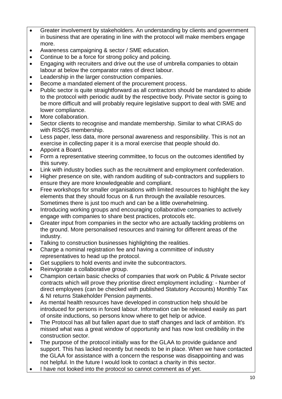- Greater involvement by stakeholders. An understanding by clients and government in business that are operating in line with the protocol will make members engage more.
- Awareness campaigning & sector / SME education.
- Continue to be a force for strong policy and policing.
- Engaging with recruiters and drive out the use of umbrella companies to obtain labour at below the comparator rates of direct labour.
- Leadership in the larger construction companies.
- Become a mandated element of the procurement process.
- Public sector is quite straightforward as all contractors should be mandated to abide to the protocol with periodic audit by the respective body. Private sector is going to be more difficult and will probably require legislative support to deal with SME and lower compliance.
- More collaboration.
- Sector clients to recognise and mandate membership. Similar to what CIRAS do with RISQS membership.
- Less paper, less data, more personal awareness and responsibility. This is not an exercise in collecting paper it is a moral exercise that people should do.
- Appoint a Board.
- Form a representative steering committee, to focus on the outcomes identified by this survey.
- Link with industry bodies such as the recruitment and employment confederation.
- Higher presence on site, with random auditing of sub-contractors and suppliers to ensure they are more knowledgeable and compliant.
- Free workshops for smaller organisations with limited resources to highlight the key elements that they should focus on & run through the available resources. Sometimes there is just too much and can be a little overwhelming.
- Introducing working groups and encouraging collaborative companies to actively engage with companies to share best practices, protocols etc.
- Greater input from companies in the sector who are actually tackling problems on the ground. More personalised resources and training for different areas of the industry.
- Talking to construction businesses highlighting the realities.
- Charge a nominal registration fee and having a committee of industry representatives to head up the protocol.
- Get suppliers to hold events and invite the subcontractors.
- Reinvigorate a collaborative group.
- Champion certain basic checks of companies that work on Public & Private sector contracts which will prove they prioritise direct employment including: - Number of direct employees (can be checked with published Statutory Accounts) Monthly Tax & NI returns Stakeholder Pension payments.
- As mental health resources have developed in construction help should be introduced for persons in forced labour. Information can be released easily as part of onsite inductions, so persons know where to get help or advice.
- The Protocol has all but fallen apart due to staff changes and lack of ambition. It's missed what was a great window of opportunity and has now lost credibility in the construction sector.
- The purpose of the protocol initially was for the GLAA to provide quidance and support. This has lacked recently but needs to be in place. When we have contacted the GLAA for assistance with a concern the response was disappointing and was not helpful. In the future I would look to contact a charity in this sector.
- I have not looked into the protocol so cannot comment as of yet.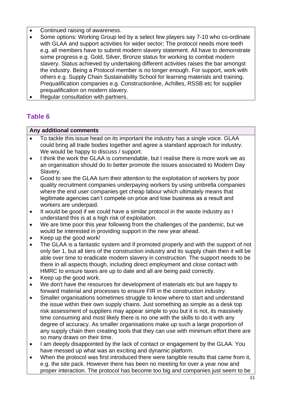- Continued raising of awareness.
- Some options: Working Group led by a select few players say 7-10 who co-ordinate with GLAA and support activities for wider sector; The protocol needs more teeth e.g. all members have to submit modern slavery statement. All have to demonstrate some progress e.g. Gold, Silver, Bronze status for working to combat modern slavery. Status achieved by undertaking different activities raises the bar amongst the industry. Being a Protocol member is no longer enough. For support, work with others e.g. Supply Chain Sustainability School for learning materials and training. Prequalification companies e.g. Constructionline, Achilles, RSSB etc for supplier prequalification on modern slavery.
- Regular consultation with partners.

## <span id="page-10-0"></span>**Table 6**

#### **Any additional comments**

- To tackle this issue head on its important the industry has a single voice. GLAA could bring all trade bodies together and agree a standard approach for industry. We would be happy to discuss / support.
- I think the work the GLAA is commendable, but I realise there is more work we as an organisation should do to better promote the issues associated to Modern Day Slavery.
- Good to see the GLAA turn their attention to the exploitation of workers by poor quality recruitment companies underpaying workers by using umbrella companies where the end user companies get cheap labour which ultimately means that legitimate agencies can't compete on price and lose business as a result and workers are underpaid.
- It would be good if we could have a similar protocol in the waste industry as I understand this is at a high risk of exploitation.
- We are time poor this year following from the challenges of the pandemic, but we would be interested in providing support in the new year ahead.
- Keep up the good work!
- The GLAA is a fantastic system and if promoted properly and with the support of not only tier 1, but all tiers of the construction industry and its supply chain then it will be able over time to eradicate modern slavery in construction. The support needs to be there in all aspects though, including direct employment and close contact with HMRC to ensure taxes are up to date and all are being paid correctly.
- Keep up the good work.
- We don't have the resources for development of materials etc but are happy to forward material and processes to ensure FIR in the construction industry.
- Smaller organisations sometimes struggle to know where to start and understand the issue within their own supply chains. Just something as simple as a desk top risk assessment of suppliers may appear simple to you but it is not, its massively time consuming and most likely there is no one with the skills to do it with any degree of accuracy. As smaller organisations make up such a large proportion of any supply chain then creating tools that they can use with minimum effort there are so many draws on their time.
- I am deeply disappointed by the lack of contact or engagement by the GLAA. You have messed up what was an exciting and dynamic platform.
- When the protocol was first introduced there were tangible results that came from it, e.g. the site pack. However there has been no meeting for over a year now and proper interaction. The protocol has become too big and companies just seem to be